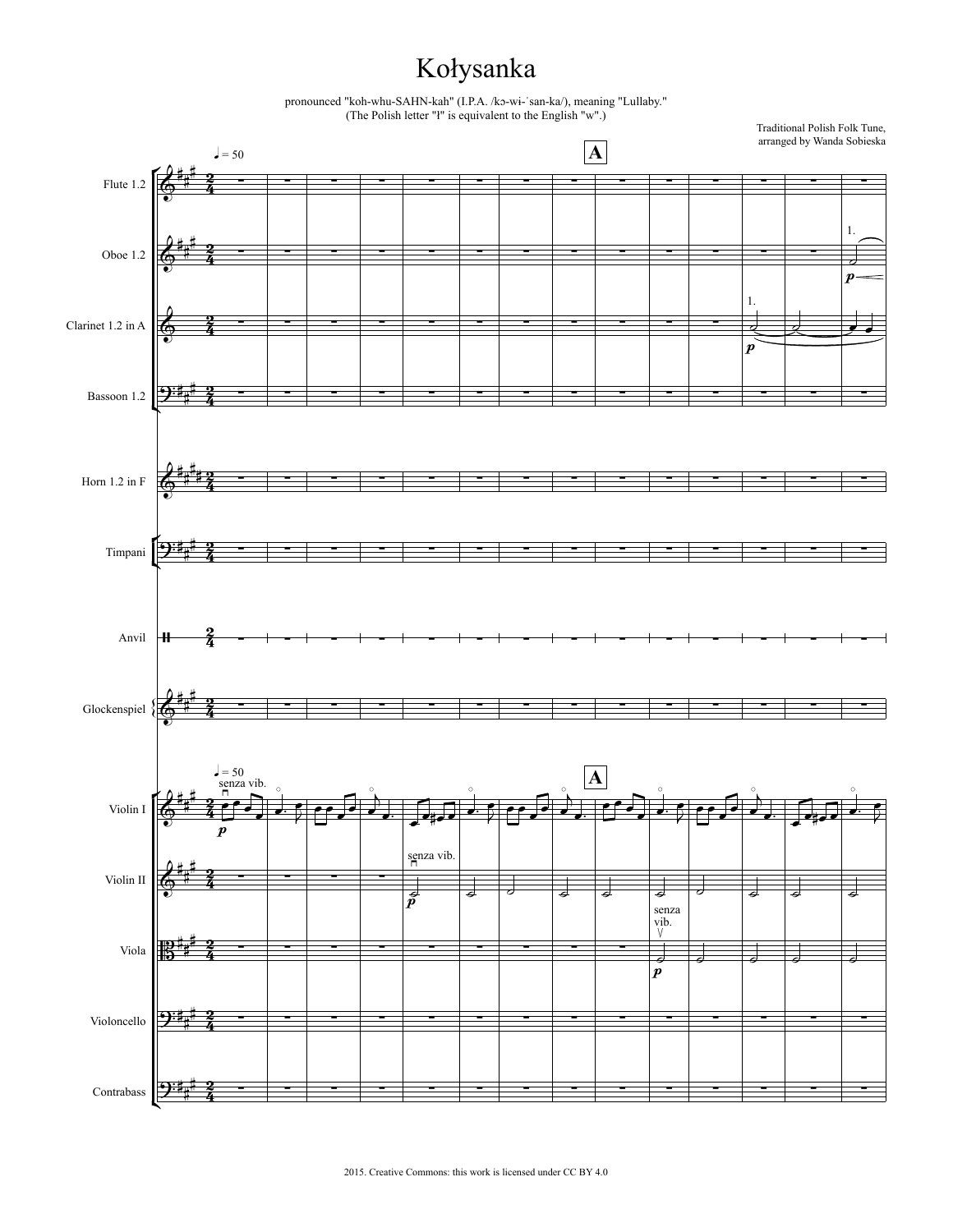pronounced "koh-whu-SAHN-kah" (I.P.A. /kɔ-wɨ-ˈsan-ka/), meaning "Lullaby." (The Polish letter "ł" is equivalent to the English "w".)

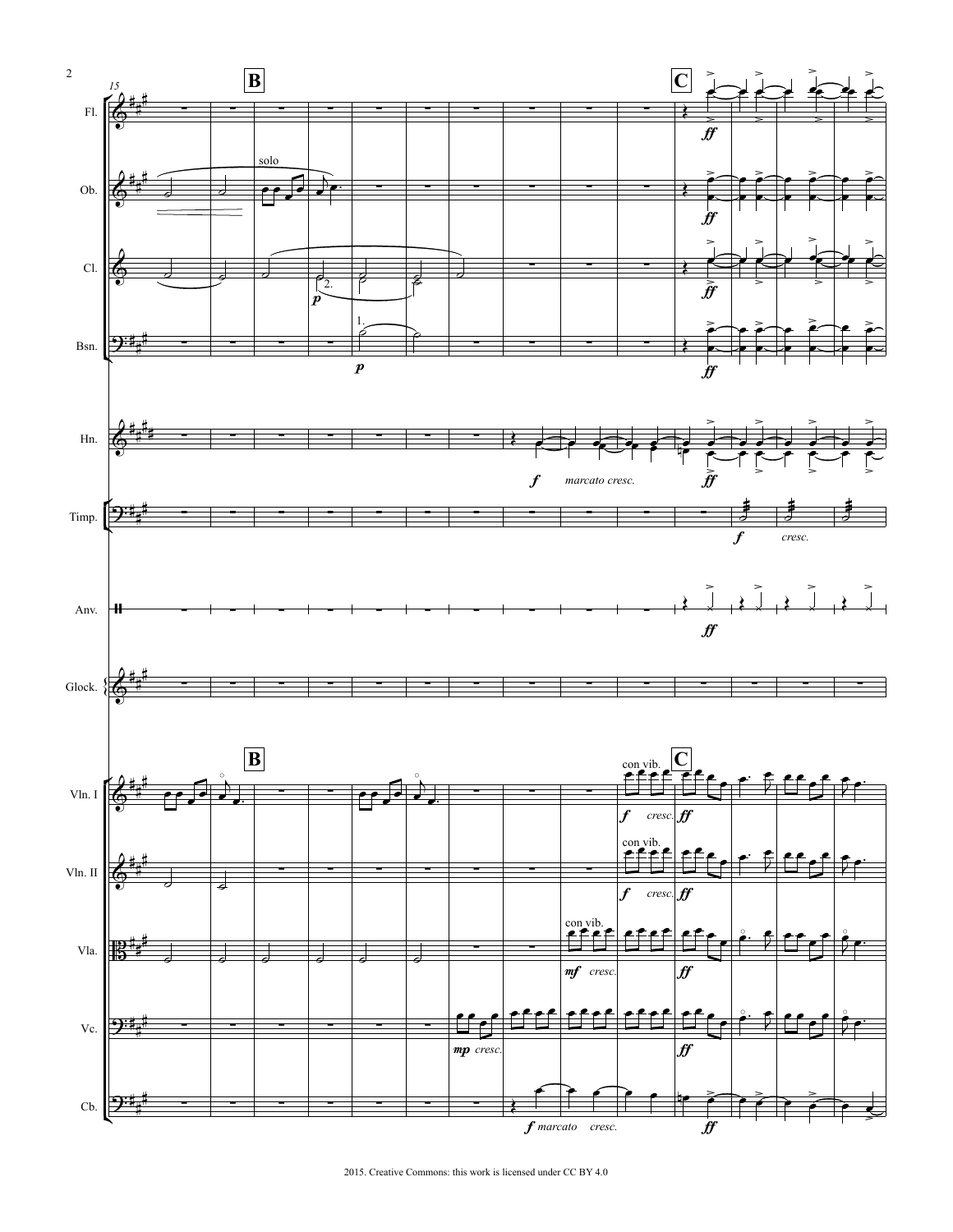